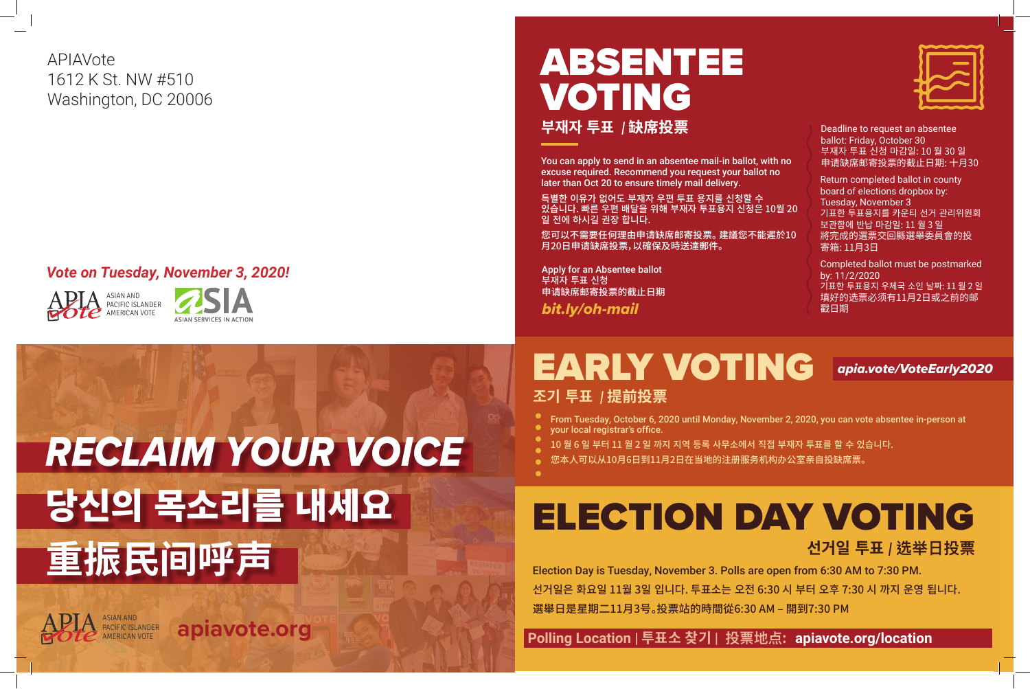

#### *Vote on Tuesday, November 3, 2020!*

APIAVote 1612 K St. NW #510 Washington, DC 20006

# ELECTION DAY VOTING

**선거일 투표** *|* **选举日投票**

 **Polling Location | 투표소 찾기 | 投票地点: apiavote.org/location**





# ABSENTEE VOTING **부재자 투표** *|* **缺席投票**

*bit.ly/oh-mail* 

You can apply to send in an absentee mail-in ballot, with no excuse required. Recommend you request your ballot no later than Oct 20 to ensure timely mail delivery.

특별한 이유가 없어도 부재자 우편 투표 용지를 신청할 수 있습니다. 빠른 우편 배달을 위해 부재자 투표용지 신청은 10월 20 일 전에 하시길 권장 합니다.

您可以不需要任何理由申请缺席邮寄投票。 建議您不能遲於10 月20日申请缺席投票,以確保及時送達郵件。

## EARLY VOTING *apia.vote/VoteEarly2020* **조기 투표** *|* **提前投票**

Apply for an Absentee ballot 부재자 투표 신청 申请缺席邮寄投票的截止日期

Deadline to request an absentee ballot: Friday, October 30 부재자 투표 신청 마감일: 10 월 30 일 申请缺席邮寄投票的截止日期: 十月30

Completed ballot must be postmarked by: 11/2/2020 기표한 투표용지 우체국 소인 날짜: 11 월 2 일 填好的选票必须有11月2日或之前的邮 戳日期

Return completed ballot in county board of elections dropbox by: Tuesday, November 3 기표한 투표용지를 카운티 선거 관리위원회 보관함에 반납 마감일: 11 월 3 일 將完成的選票交回縣選舉委員會的投 寄箱: 11月3日

From Tuesday, October 6, 2020 until Monday, November 2, 2020, you can vote absentee in-person at

10 월 6 일 부터 11 월 2 일 까지 지역 등록 사무소에서 직접 부재자 투표를 할 수 있습니다.

- 
- 
- your local registrar's office.
- 
- 您本人可以从10月6日到11月2日在当地的注册服务机构办公室亲自投缺席票。

Election Day is Tuesday, November 3. Polls are open from 6:30 AM to 7:30 PM. 선거일은 화요일 11월 3일 입니다. 투표소는 오전 6:30 시 부터 오후 7:30 시 까지 운영 됩니다. 選舉日是星期二11月3号。投票站的時間從6:30 AM – 開到7:30 PM

# *RECLAIM YOUR VOICE* 당신의 목소리를 내세요 **重振民间呼声**

apiavote.org

ASIAN AND

PACIFIC ISLANDER<br>AMERICAN VOTE